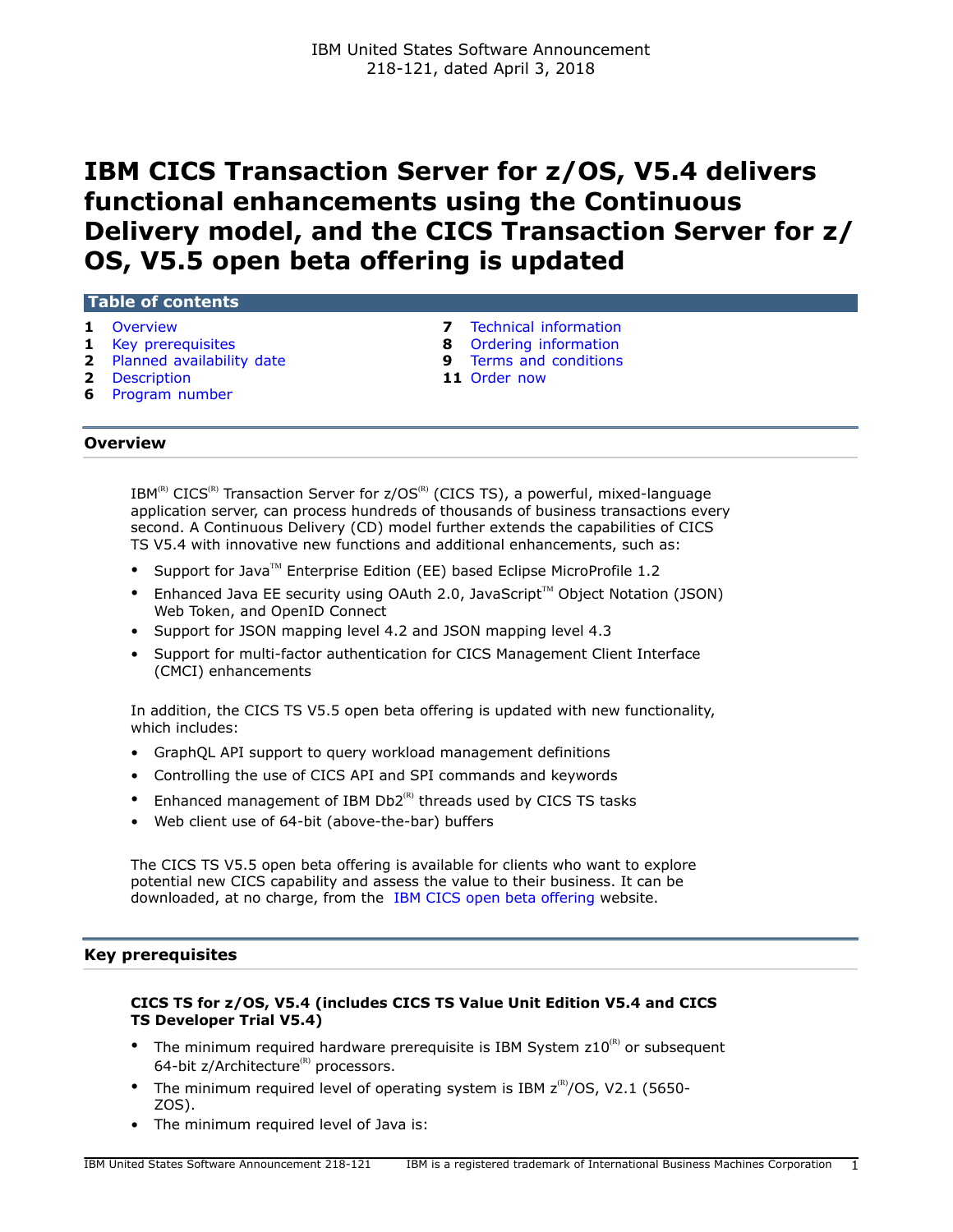# **IBM CICS Transaction Server for z/OS, V5.4 delivers functional enhancements using the Continuous Delivery model, and the CICS Transaction Server for z/ OS, V5.5 open beta offering is updated**

# **Table of contents**

- 
- 
- **2** [Planned availability date](#page-1-0) **9** [Terms and conditions](#page-8-0)
- **2** [Description](#page-1-1) **11** [Order now](#page-10-0)
- **6** [Program number](#page-5-0)
- **1** [Overview](#page-0-0) **1 1** Overview **1 Example 1 8 8** Ordering information **1 Example 2 8** Ordering information
	- **8** [Ordering information](#page-7-0)
	-
	-

## <span id="page-0-0"></span>**Overview**

 $IBM^{(R)}$  CICS<sup>(R)</sup> Transaction Server for  $z/OS^{(R)}$  (CICS TS), a powerful, mixed-language application server, can process hundreds of thousands of business transactions every second. A Continuous Delivery (CD) model further extends the capabilities of CICS TS V5.4 with innovative new functions and additional enhancements, such as:

- Support for Java<sup>TM</sup> Enterprise Edition (EE) based Eclipse MicroProfile 1.2
- Enhanced Java EE security using OAuth 2.0, JavaScript<sup>™</sup> Object Notation (JSON) Web Token, and OpenID Connect
- Support for JSON mapping level 4.2 and JSON mapping level 4.3
- Support for multi-factor authentication for CICS Management Client Interface (CMCI) enhancements

In addition, the CICS TS V5.5 open beta offering is updated with new functionality, which includes:

- GraphQL API support to query workload management definitions
- Controlling the use of CICS API and SPI commands and keywords
- Enhanced management of IBM  $Db2^{(R)}$  threads used by CICS TS tasks
- Web client use of 64-bit (above-the-bar) buffers

The CICS TS V5.5 open beta offering is available for clients who want to explore potential new CICS capability and assess the value to their business. It can be downloaded, at no charge, from the [IBM CICS open beta offering](https://www.ibm.com/software/data/enterprise-application-servers/cics/trials/) website.

# <span id="page-0-1"></span>**Key prerequisites**

# **CICS TS for z/OS, V5.4 (includes CICS TS Value Unit Edition V5.4 and CICS TS Developer Trial V5.4)**

- The minimum required hardware prerequisite is IBM System  $z10^{(R)}$  or subsequent 64-bit  $z/A$ rchitecture<sup>(R)</sup> processors.
- The minimum required level of operating system is IBM  $z^{(R)}/OS$ , V2.1 (5650-ZOS).
- The minimum required level of Java is: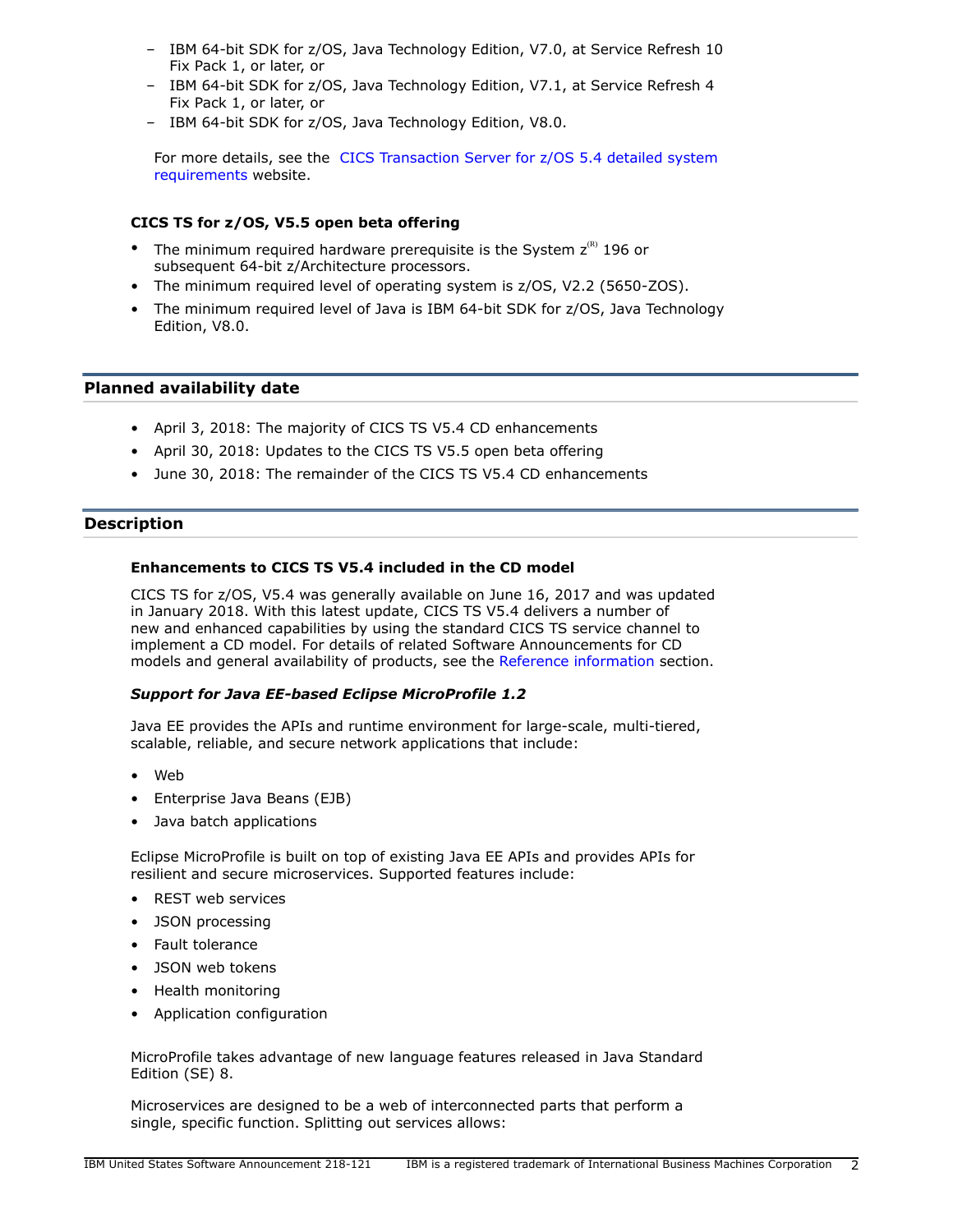- IBM 64-bit SDK for z/OS, Java Technology Edition, V7.0, at Service Refresh 10 Fix Pack 1, or later, or
- IBM 64-bit SDK for z/OS, Java Technology Edition, V7.1, at Service Refresh 4 Fix Pack 1, or later, or
- IBM 64-bit SDK for z/OS, Java Technology Edition, V8.0.

For more details, see the [CICS Transaction Server for z/OS 5.4 detailed system](http://www.ibm.com/support/docview.wss?uid=swg27049888) [requirements](http://www.ibm.com/support/docview.wss?uid=swg27049888) website.

# **CICS TS for z/OS, V5.5 open beta offering**

- The minimum required hardware prerequisite is the System  $z^{(R)}$  196 or subsequent 64-bit z/Architecture processors.
- The minimum required level of operating system is z/OS, V2.2 (5650-ZOS).
- The minimum required level of Java is IBM 64-bit SDK for z/OS, Java Technology Edition, V8.0.

## <span id="page-1-0"></span>**Planned availability date**

- April 3, 2018: The majority of CICS TS V5.4 CD enhancements
- April 30, 2018: Updates to the CICS TS V5.5 open beta offering
- June 30, 2018: The remainder of the CICS TS V5.4 CD enhancements

## <span id="page-1-1"></span>**Description**

## **Enhancements to CICS TS V5.4 included in the CD model**

CICS TS for z/OS, V5.4 was generally available on June 16, 2017 and was updated in January 2018. With this latest update, CICS TS V5.4 delivers a number of new and enhanced capabilities by using the standard CICS TS service channel to implement a CD model. For details of related Software Announcements for CD models and general availability of products, see the [Reference information](#page-5-1) section.

#### *Support for Java EE-based Eclipse MicroProfile 1.2*

Java EE provides the APIs and runtime environment for large-scale, multi-tiered, scalable, reliable, and secure network applications that include:

- Web
- Enterprise Java Beans (EJB)
- Java batch applications

Eclipse MicroProfile is built on top of existing Java EE APIs and provides APIs for resilient and secure microservices. Supported features include:

- REST web services
- JSON processing
- Fault tolerance
- JSON web tokens
- Health monitoring
- Application configuration

MicroProfile takes advantage of new language features released in Java Standard Edition (SE) 8.

Microservices are designed to be a web of interconnected parts that perform a single, specific function. Splitting out services allows: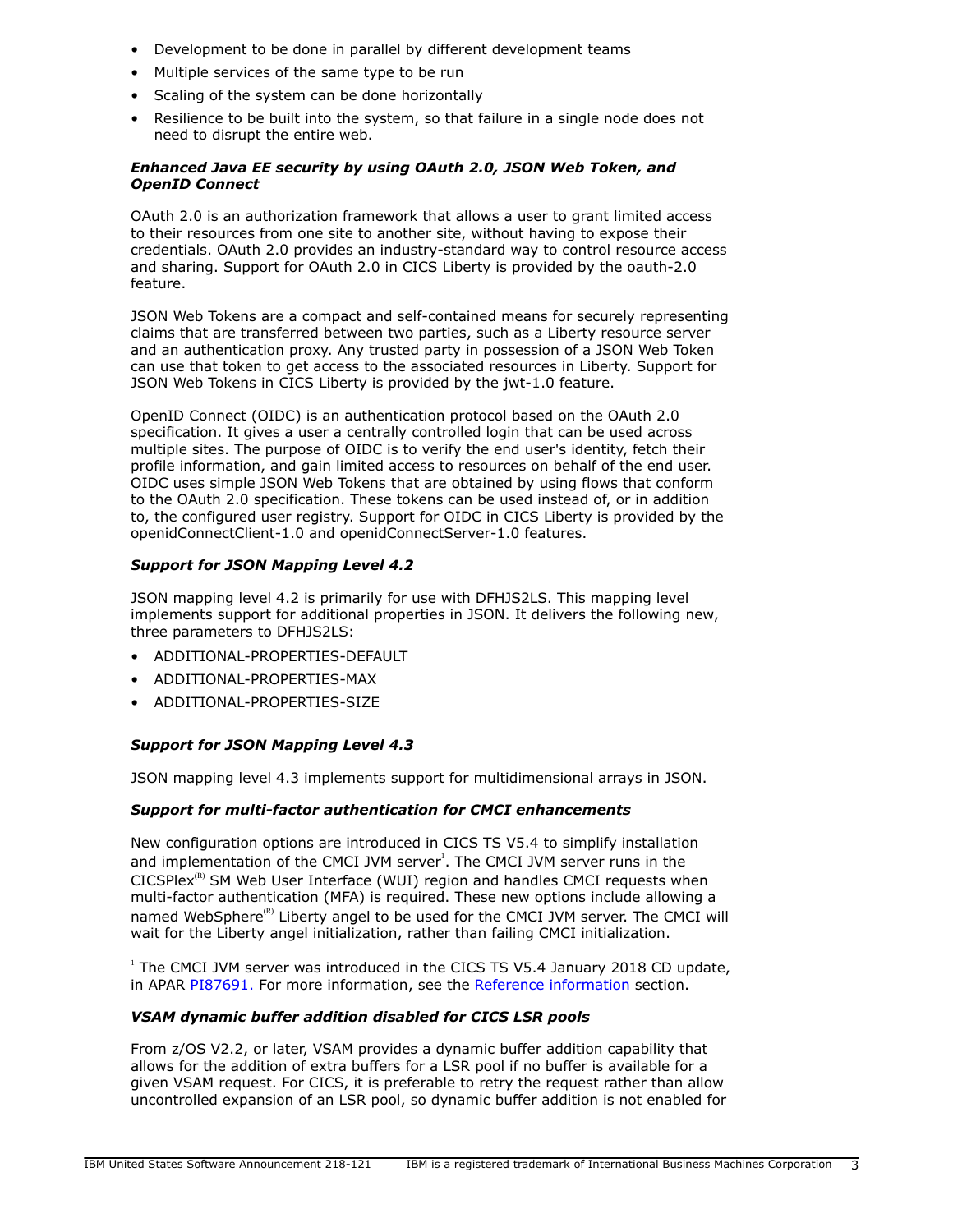- Development to be done in parallel by different development teams
- Multiple services of the same type to be run
- Scaling of the system can be done horizontally
- Resilience to be built into the system, so that failure in a single node does not need to disrupt the entire web.

# *Enhanced Java EE security by using OAuth 2.0, JSON Web Token, and OpenID Connect*

OAuth 2.0 is an authorization framework that allows a user to grant limited access to their resources from one site to another site, without having to expose their credentials. OAuth 2.0 provides an industry-standard way to control resource access and sharing. Support for OAuth 2.0 in CICS Liberty is provided by the oauth-2.0 feature.

JSON Web Tokens are a compact and self-contained means for securely representing claims that are transferred between two parties, such as a Liberty resource server and an authentication proxy. Any trusted party in possession of a JSON Web Token can use that token to get access to the associated resources in Liberty. Support for JSON Web Tokens in CICS Liberty is provided by the jwt-1.0 feature.

OpenID Connect (OIDC) is an authentication protocol based on the OAuth 2.0 specification. It gives a user a centrally controlled login that can be used across multiple sites. The purpose of OIDC is to verify the end user's identity, fetch their profile information, and gain limited access to resources on behalf of the end user. OIDC uses simple JSON Web Tokens that are obtained by using flows that conform to the OAuth 2.0 specification. These tokens can be used instead of, or in addition to, the configured user registry. Support for OIDC in CICS Liberty is provided by the openidConnectClient-1.0 and openidConnectServer-1.0 features.

# *Support for JSON Mapping Level 4.2*

JSON mapping level 4.2 is primarily for use with DFHJS2LS. This mapping level implements support for additional properties in JSON. It delivers the following new, three parameters to DFHJS2LS:

- ADDITIONAL-PROPERTIES-DEFAULT
- ADDITIONAL-PROPERTIES-MAX
- ADDITIONAL-PROPERTIES-SIZE

# *Support for JSON Mapping Level 4.3*

JSON mapping level 4.3 implements support for multidimensional arrays in JSON.

# *Support for multi-factor authentication for CMCI enhancements*

New configuration options are introduced in CICS TS V5.4 to simplify installation and implementation of the CMCI JVM server<sup>1</sup>. The CMCI JVM server runs in the  $CICSPlex<sup>(R)</sup>$  SM Web User Interface (WUI) region and handles CMCI requests when multi-factor authentication (MFA) is required. These new options include allowing a named WebSphere $\overset{(R)}{ }$  Liberty angel to be used for the CMCI JVM server. The CMCI will wait for the Liberty angel initialization, rather than failing CMCI initialization.

<sup>1</sup> The CMCI JVM server was introduced in the CICS TS V5.4 January 2018 CD update, in APAR [PI87691.](https://www.ibm.com/support/entdocview.wss?uid=swg1PI87691) For more information, see the [Reference information](#page-5-1) section.

# *VSAM dynamic buffer addition disabled for CICS LSR pools*

From z/OS V2.2, or later, VSAM provides a dynamic buffer addition capability that allows for the addition of extra buffers for a LSR pool if no buffer is available for a given VSAM request. For CICS, it is preferable to retry the request rather than allow uncontrolled expansion of an LSR pool, so dynamic buffer addition is not enabled for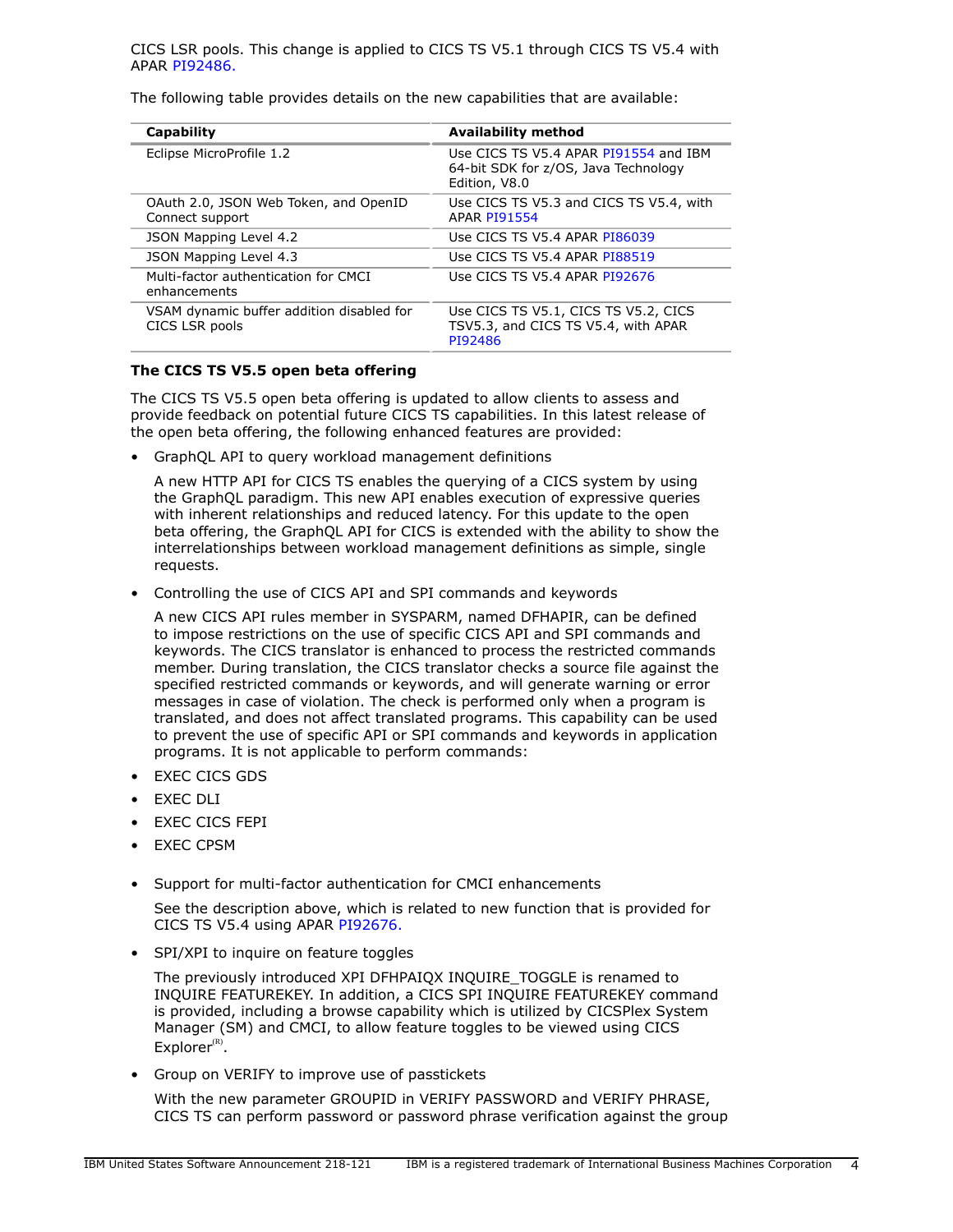The following table provides details on the new capabilities that are available:

| Capability                                                  | <b>Availability method</b>                                                                     |
|-------------------------------------------------------------|------------------------------------------------------------------------------------------------|
| Eclipse MicroProfile 1.2                                    | Use CICS TS V5.4 APAR PI91554 and IBM<br>64-bit SDK for z/OS, Java Technology<br>Edition, V8.0 |
| OAuth 2.0, JSON Web Token, and OpenID<br>Connect support    | Use CICS TS V5.3 and CICS TS V5.4, with<br><b>APAR PI91554</b>                                 |
| <b>JSON Mapping Level 4.2</b>                               | Use CICS TS V5.4 APAR PI86039                                                                  |
| JSON Mapping Level 4.3                                      | Use CICS TS V5.4 APAR PI88519                                                                  |
| Multi-factor authentication for CMCI<br>enhancements        | Use CICS TS V5.4 APAR PI92676                                                                  |
| VSAM dynamic buffer addition disabled for<br>CICS LSR pools | Use CICS TS V5.1, CICS TS V5.2, CICS<br>TSV5.3, and CICS TS V5.4, with APAR<br>PI92486         |

## **The CICS TS V5.5 open beta offering**

The CICS TS V5.5 open beta offering is updated to allow clients to assess and provide feedback on potential future CICS TS capabilities. In this latest release of the open beta offering, the following enhanced features are provided:

• GraphQL API to query workload management definitions

A new HTTP API for CICS TS enables the querying of a CICS system by using the GraphQL paradigm. This new API enables execution of expressive queries with inherent relationships and reduced latency. For this update to the open beta offering, the GraphQL API for CICS is extended with the ability to show the interrelationships between workload management definitions as simple, single requests.

• Controlling the use of CICS API and SPI commands and keywords

A new CICS API rules member in SYSPARM, named DFHAPIR, can be defined to impose restrictions on the use of specific CICS API and SPI commands and keywords. The CICS translator is enhanced to process the restricted commands member. During translation, the CICS translator checks a source file against the specified restricted commands or keywords, and will generate warning or error messages in case of violation. The check is performed only when a program is translated, and does not affect translated programs. This capability can be used to prevent the use of specific API or SPI commands and keywords in application programs. It is not applicable to perform commands:

- EXEC CICS GDS
- EXEC DLI
- EXEC CICS FEPI
- EXEC CPSM
- Support for multi-factor authentication for CMCI enhancements

See the description above, which is related to new function that is provided for CICS TS V5.4 using APAR [PI92676.](https://www.ibm.com/support/entdocview.wss?uid=swg1PI92676)

• SPI/XPI to inquire on feature toggles

The previously introduced XPI DFHPAIQX INQUIRE\_TOGGLE is renamed to INQUIRE FEATUREKEY. In addition, a CICS SPI INQUIRE FEATUREKEY command is provided, including a browse capability which is utilized by CICSPlex System Manager (SM) and CMCI, to allow feature toggles to be viewed using CICS  $Explorer<sup>(R)</sup>$ .

• Group on VERIFY to improve use of passtickets

With the new parameter GROUPID in VERIFY PASSWORD and VERIFY PHRASE, CICS TS can perform password or password phrase verification against the group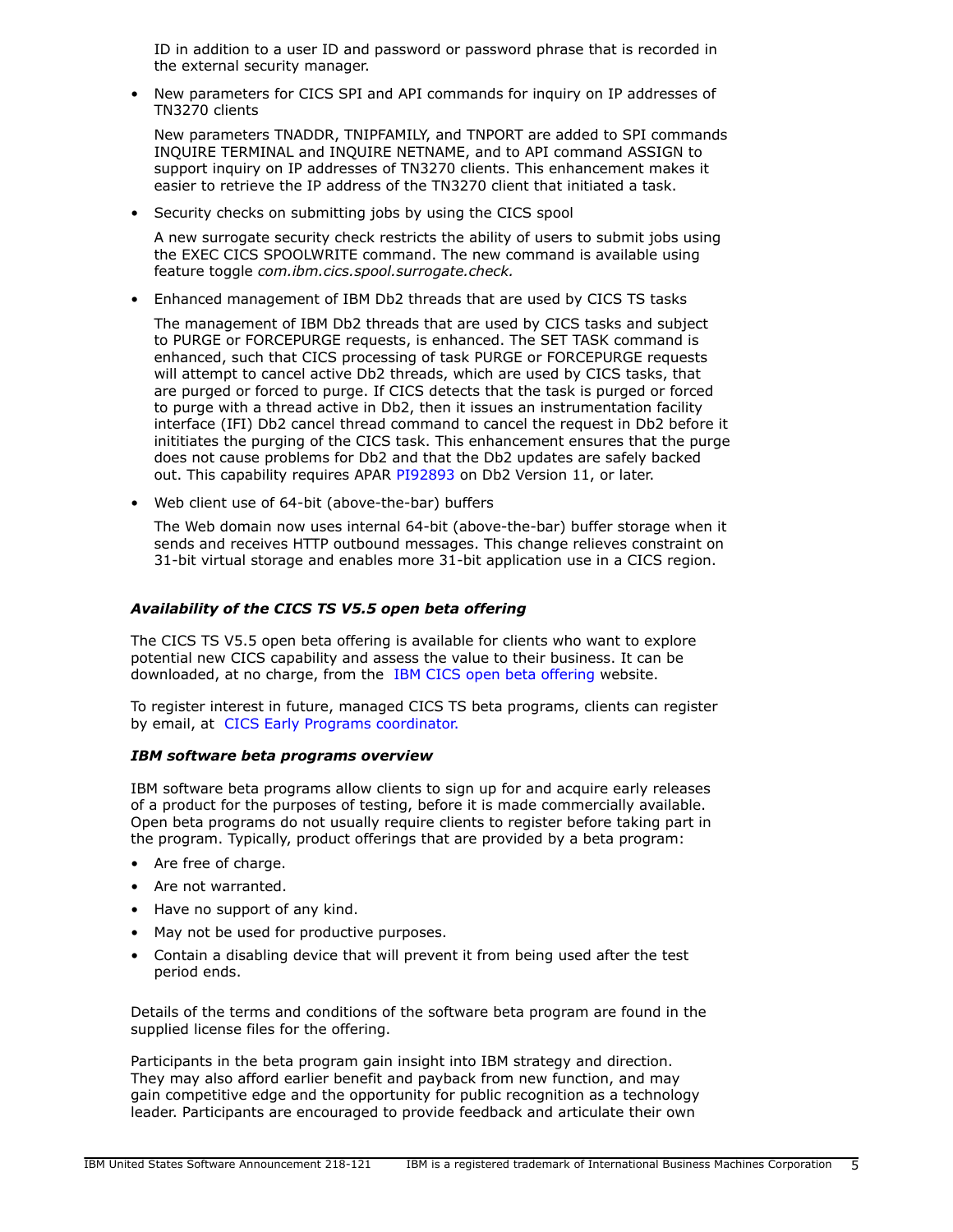ID in addition to a user ID and password or password phrase that is recorded in the external security manager.

• New parameters for CICS SPI and API commands for inquiry on IP addresses of TN3270 clients

New parameters TNADDR, TNIPFAMILY, and TNPORT are added to SPI commands INQUIRE TERMINAL and INQUIRE NETNAME, and to API command ASSIGN to support inquiry on IP addresses of TN3270 clients. This enhancement makes it easier to retrieve the IP address of the TN3270 client that initiated a task.

• Security checks on submitting jobs by using the CICS spool

A new surrogate security check restricts the ability of users to submit jobs using the EXEC CICS SPOOLWRITE command. The new command is available using feature toggle *com.ibm.cics.spool.surrogate.check.*

• Enhanced management of IBM Db2 threads that are used by CICS TS tasks

The management of IBM Db2 threads that are used by CICS tasks and subject to PURGE or FORCEPURGE requests, is enhanced. The SET TASK command is enhanced, such that CICS processing of task PURGE or FORCEPURGE requests will attempt to cancel active Db2 threads, which are used by CICS tasks, that are purged or forced to purge. If CICS detects that the task is purged or forced to purge with a thread active in Db2, then it issues an instrumentation facility interface (IFI) Db2 cancel thread command to cancel the request in Db2 before it inititiates the purging of the CICS task. This enhancement ensures that the purge does not cause problems for Db2 and that the Db2 updates are safely backed out. This capability requires APAR [PI92893](https://www.ibm.com/support/entdocview.wss?uid=swg1PI92893) on Db2 Version 11, or later.

• Web client use of 64-bit (above-the-bar) buffers

The Web domain now uses internal 64-bit (above-the-bar) buffer storage when it sends and receives HTTP outbound messages. This change relieves constraint on 31-bit virtual storage and enables more 31-bit application use in a CICS region.

## *Availability of the CICS TS V5.5 open beta offering*

The CICS TS V5.5 open beta offering is available for clients who want to explore potential new CICS capability and assess the value to their business. It can be downloaded, at no charge, from the [IBM CICS open beta offering](https://www.ibm.com/software/data/enterprise-application-servers/cics/trials/) website.

To register interest in future, managed CICS TS beta programs, clients can register by email, at [CICS Early Programs coordinator.](mailto:cicsep@uk.ibm.com)

#### *IBM software beta programs overview*

IBM software beta programs allow clients to sign up for and acquire early releases of a product for the purposes of testing, before it is made commercially available. Open beta programs do not usually require clients to register before taking part in the program. Typically, product offerings that are provided by a beta program:

- Are free of charge.
- Are not warranted.
- Have no support of any kind.
- May not be used for productive purposes.
- Contain a disabling device that will prevent it from being used after the test period ends.

Details of the terms and conditions of the software beta program are found in the supplied license files for the offering.

Participants in the beta program gain insight into IBM strategy and direction. They may also afford earlier benefit and payback from new function, and may gain competitive edge and the opportunity for public recognition as a technology leader. Participants are encouraged to provide feedback and articulate their own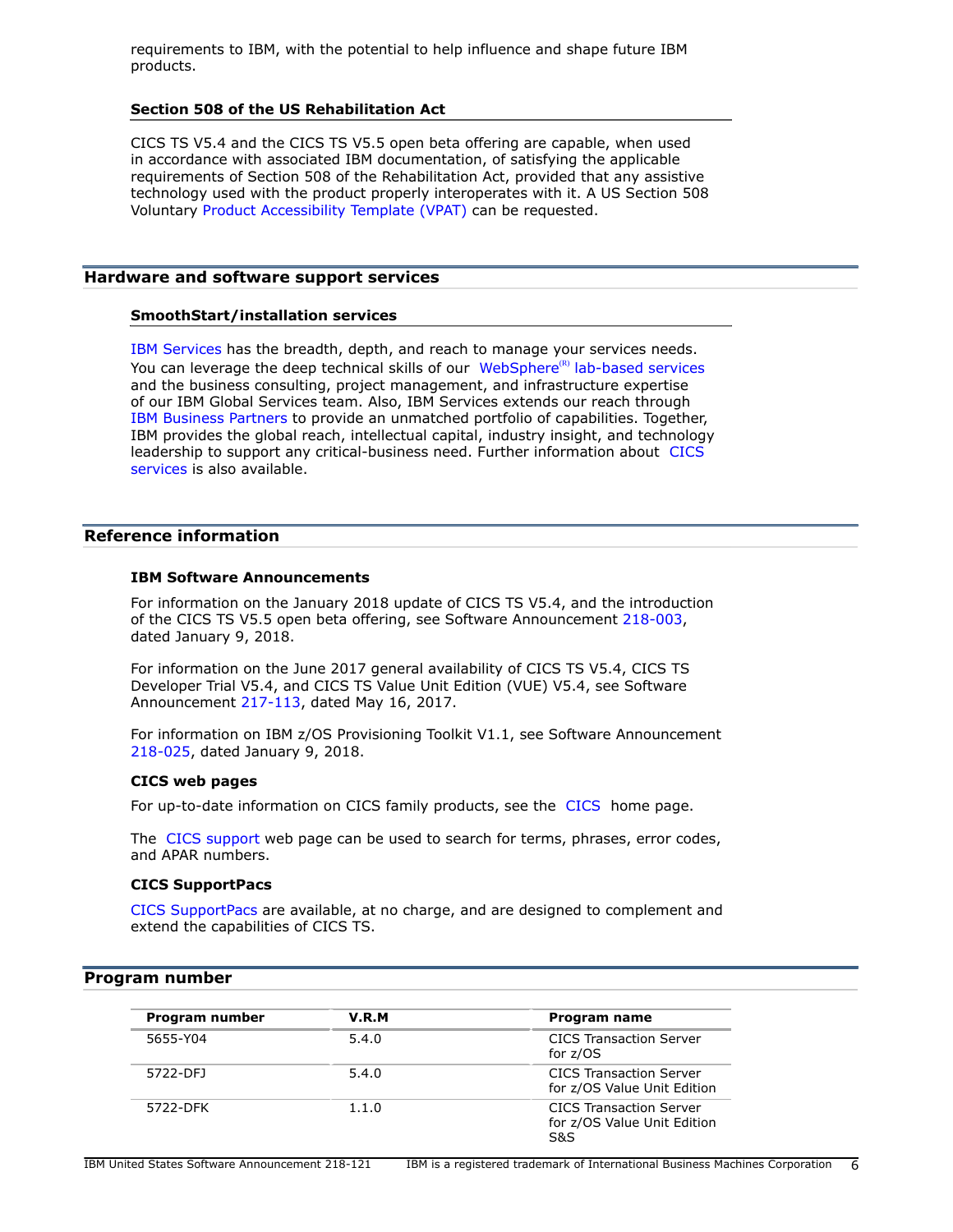requirements to IBM, with the potential to help influence and shape future IBM products.

#### **Section 508 of the US Rehabilitation Act**

CICS TS V5.4 and the CICS TS V5.5 open beta offering are capable, when used in accordance with associated IBM documentation, of satisfying the applicable requirements of Section 508 of the Rehabilitation Act, provided that any assistive technology used with the product properly interoperates with it. A US Section 508 Voluntary [Product Accessibility Template \(VPAT\)](http://www.ibm.com/able/product_accessibility/index.html) can be requested.

## **Hardware and software support services**

#### **SmoothStart/installation services**

[IBM Services](http://www.ibm.com/services) has the breadth, depth, and reach to manage your services needs. You can leverage the deep technical skills of our WebSphere<sup>(R)</sup> [lab-based services](http://www.ibm.com/developerWorks/websphere/services/) and the business consulting, project management, and infrastructure expertise of our IBM Global Services team. Also, IBM Services extends our reach through [IBM Business Partners](http://www.ibm.com/partnerworld/wps/bplocator/landing) to provide an unmatched portfolio of capabilities. Together, IBM provides the global reach, intellectual capital, industry insight, and technology leadership to support any critical-business need. Further information about [CICS](http://www.ibm.com/software/ts/cics/service/) [services](http://www.ibm.com/software/ts/cics/service/) is also available.

#### <span id="page-5-1"></span>**Reference information**

#### **IBM Software Announcements**

For information on the January 2018 update of CICS TS V5.4, and the introduction of the CICS TS V5.5 open beta offering, see Software Announcement [218-003,](http://www.ibm.com/common/ssi/cgi-bin/ssialias?infotype=an&subtype=ca&appname=gpateam&supplier=897&letternum=ENUS218-003) dated January 9, 2018.

For information on the June 2017 general availability of CICS TS V5.4, CICS TS Developer Trial V5.4, and CICS TS Value Unit Edition (VUE) V5.4, see Software Announcement [217-113](http://www.ibm.com/common/ssi/cgi-bin/ssialias?infotype=an&subtype=ca&appname=gpateam&supplier=897&letternum=ENUS217-113), dated May 16, 2017.

For information on IBM z/OS Provisioning Toolkit V1.1, see Software Announcement [218-025](http://www.ibm.com/common/ssi/cgi-bin/ssialias?infotype=an&subtype=ca&appname=gpateam&supplier=897&letternum=ENUS218-025), dated January 9, 2018.

#### **CICS web pages**

For up-to-date information on [CICS](http://www.ibm.com/software/ts/cics/) family products, see the CICS home page.

The [CICS support](https://www.ibm.com/support/home/product/J465571V80648A08/CICS_Transaction_Server) web page can be used to search for terms, phrases, error codes, and APAR numbers.

#### **CICS SupportPacs**

[CICS SupportPacs](http://www.ibm.com/support/docview.wss?uid=swg27007241) are available, at no charge, and are designed to complement and extend the capabilities of CICS TS.

#### <span id="page-5-0"></span>**Program number**

| Program number | V.R.M | Program name                                                         |
|----------------|-------|----------------------------------------------------------------------|
| 5655-Y04       | 5.4.0 | <b>CICS Transaction Server</b><br>for z/OS                           |
| 5722-DFJ       | 5.4.0 | <b>CICS Transaction Server</b><br>for z/OS Value Unit Edition        |
| 5722-DFK       | 1.1.0 | <b>CICS Transaction Server</b><br>for z/OS Value Unit Edition<br>S&S |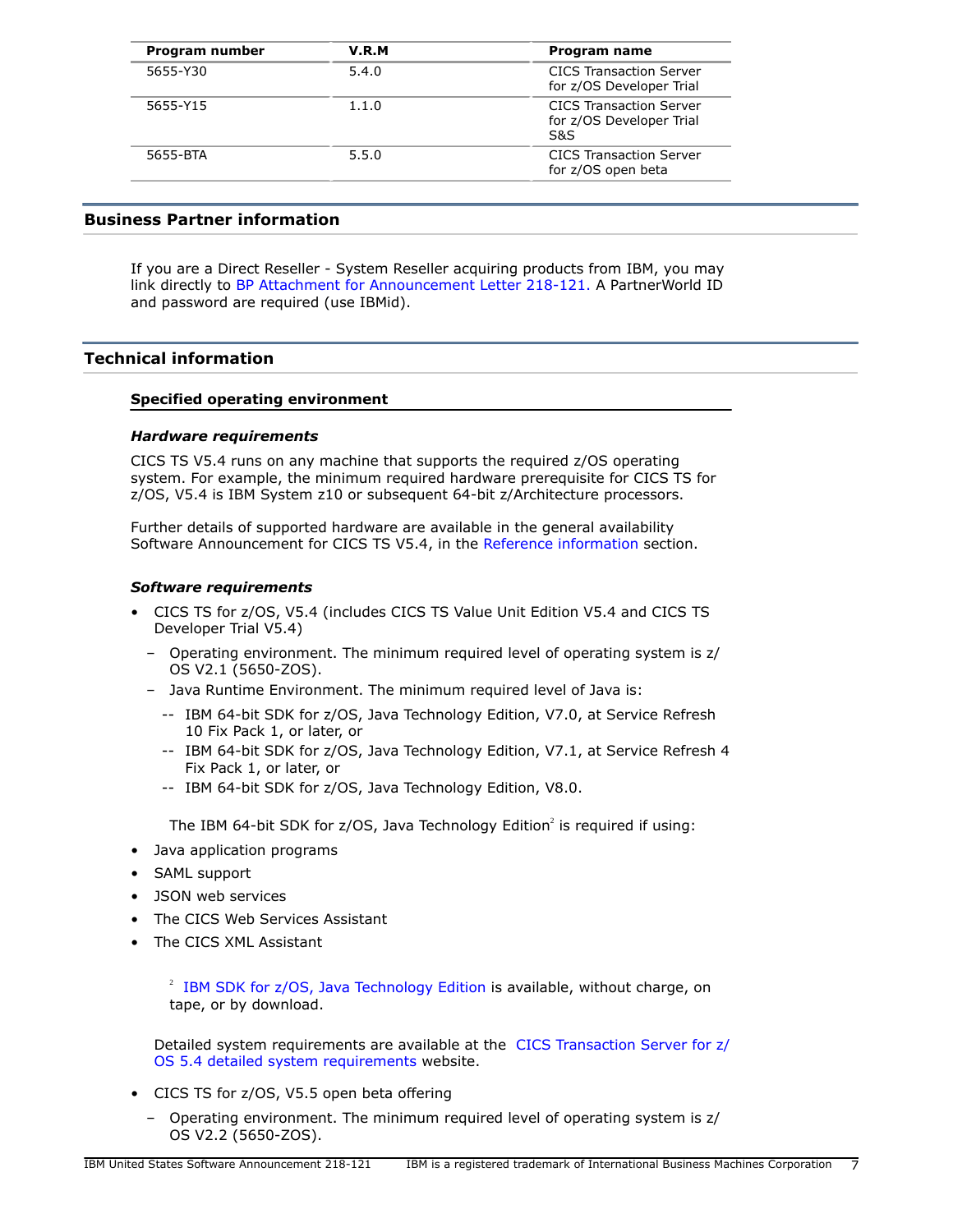| Program number | V.R.M | Program name                                                      |
|----------------|-------|-------------------------------------------------------------------|
| 5655-Y30       | 5.4.0 | <b>CICS Transaction Server</b><br>for z/OS Developer Trial        |
| 5655-Y15       | 1.1.0 | <b>CICS Transaction Server</b><br>for z/OS Developer Trial<br>S&S |
| 5655-BTA       | 5.5.0 | <b>CICS Transaction Server</b><br>for z/OS open beta              |

## **Business Partner information**

If you are a Direct Reseller - System Reseller acquiring products from IBM, you may link directly to [BP Attachment for Announcement Letter 218-121.](https://www.ibm.com/partnerworld/mem/sla.jsp?num=218-121) A PartnerWorld ID and password are required (use IBMid).

# <span id="page-6-0"></span>**Technical information**

## **Specified operating environment**

## *Hardware requirements*

CICS TS V5.4 runs on any machine that supports the required z/OS operating system. For example, the minimum required hardware prerequisite for CICS TS for z/OS, V5.4 is IBM System z10 or subsequent 64-bit z/Architecture processors.

Further details of supported hardware are available in the general availability Software Announcement for CICS TS V5.4, in the [Reference information](#page-5-1) section.

## *Software requirements*

- CICS TS for z/OS, V5.4 (includes CICS TS Value Unit Edition V5.4 and CICS TS Developer Trial V5.4)
	- Operating environment. The minimum required level of operating system is z/ OS V2.1 (5650-ZOS).
	- Java Runtime Environment. The minimum required level of Java is:
		- -- IBM 64-bit SDK for z/OS, Java Technology Edition, V7.0, at Service Refresh 10 Fix Pack 1, or later, or
		- -- IBM 64-bit SDK for z/OS, Java Technology Edition, V7.1, at Service Refresh 4 Fix Pack 1, or later, or
		- -- IBM 64-bit SDK for z/OS, Java Technology Edition, V8.0.

The IBM 64-bit SDK for z/OS, Java Technology Edition<sup>2</sup> is required if using:

- Java application programs
- SAML support
- JSON web services
- The CICS Web Services Assistant
- The CICS XML Assistant

 $2$  [IBM SDK for z/OS, Java Technology Edition](http://www.ibm.com/servers/eserver/zseries/software/java/) is available, without charge, on tape, or by download.

Detailed system requirements are available at the [CICS Transaction Server for z/](http://www.ibm.com/support/docview.wss?uid=swg27049888) [OS 5.4 detailed system requirements](http://www.ibm.com/support/docview.wss?uid=swg27049888) website.

- CICS TS for z/OS, V5.5 open beta offering
	- Operating environment. The minimum required level of operating system is z/ OS V2.2 (5650-ZOS).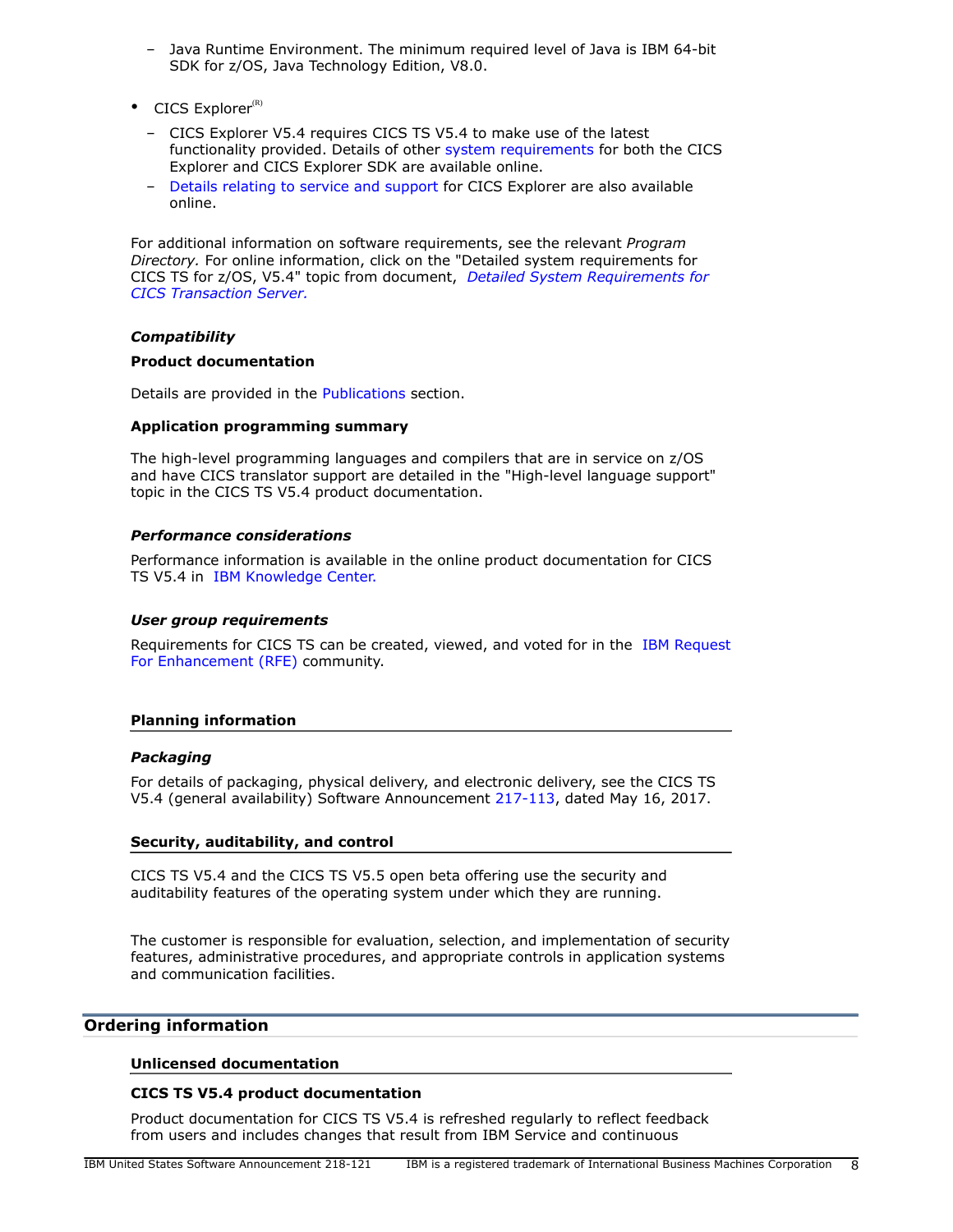- Java Runtime Environment. The minimum required level of Java is IBM 64-bit SDK for z/OS, Java Technology Edition, V8.0.
- $\bullet$  CICS Explorer<sup>(R)</sup>
	- CICS Explorer V5.4 requires CICS TS V5.4 to make use of the latest functionality provided. Details of other [system requirements](https://www.ibm.com/software/reports/compatibility/clarity-reports/report/html/softwareReqsForProduct?deliverableId=2504EB10A27911E5B4D746C499E8F397) for both the CICS Explorer and CICS Explorer SDK are available online.
	- [Details relating to service and support](http://www.ibm.com/support/docview.wss?uid=swg21380083) for CICS Explorer are also available online.

For additional information on software requirements, see the relevant *Program Directory.* For online information, click on the "Detailed system requirements for CICS TS for z/OS, V5.4" topic from document, *[Detailed System Requirements for](http://www.ibm.com/support/docview.wss?uid=swg27006382) [CICS Transaction Server.](http://www.ibm.com/support/docview.wss?uid=swg27006382)*

# *Compatibility*

## **Product documentation**

Details are provided in the [Publications](#page-7-1) section.

## **Application programming summary**

The high-level programming languages and compilers that are in service on z/OS and have CICS translator support are detailed in the "High-level language support" topic in the CICS TS V5.4 product documentation.

## *Performance considerations*

Performance information is available in the online product documentation for CICS TS V5.4 in [IBM Knowledge Center.](http://www.ibm.com/support/knowledgecenter/SSGMCP_5.4.0/documentation/PDF.html)

## *User group requirements*

Requirements for CICS TS can be created, viewed, and voted for in the [IBM Request](http://www.ibm.com/developerworks/rfe/) [For Enhancement \(RFE\)](http://www.ibm.com/developerworks/rfe/) community.

# **Planning information**

# *Packaging*

For details of packaging, physical delivery, and electronic delivery, see the CICS TS V5.4 (general availability) Software Announcement [217-113,](http://www.ibm.com/common/ssi/cgi-bin/ssialias?infotype=an&subtype=ca&appname=gpateam&supplier=897&letternum=ENUS217-113) dated May 16, 2017.

# **Security, auditability, and control**

CICS TS V5.4 and the CICS TS V5.5 open beta offering use the security and auditability features of the operating system under which they are running.

The customer is responsible for evaluation, selection, and implementation of security features, administrative procedures, and appropriate controls in application systems and communication facilities.

# <span id="page-7-0"></span>**Ordering information**

#### <span id="page-7-1"></span>**Unlicensed documentation**

# **CICS TS V5.4 product documentation**

Product documentation for CICS TS V5.4 is refreshed regularly to reflect feedback from users and includes changes that result from IBM Service and continuous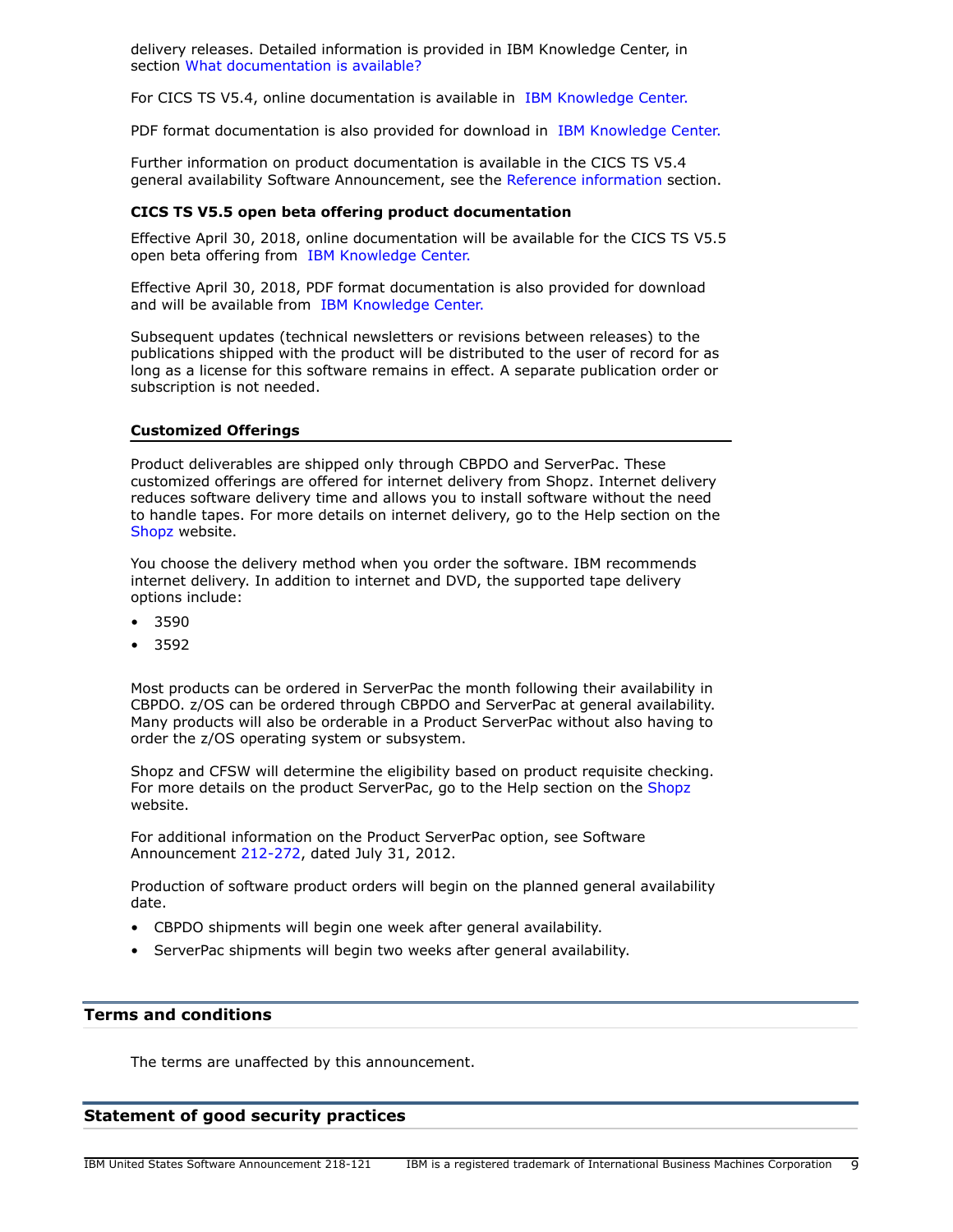delivery releases. Detailed information is provided in IBM Knowledge Center, in section [What documentation is available?](https://www.ibm.com/support/knowledgecenter/SSGMCP_5.4.0/documentation/Intro.html)

For CICS TS V5.4, online documentation is available in [IBM Knowledge Center.](https://www.ibm.com/support/knowledgecenter/SSGMCP_5.4.0/home/welcome.html)

PDF format documentation is also provided for download in [IBM Knowledge Center.](https://www.ibm.com/support/knowledgecenter/SSGMCP_5.4.0/documentation/PDF.html)

Further information on product documentation is available in the CICS TS V5.4 general availability Software Announcement, see the [Reference information](#page-5-1) section.

#### **CICS TS V5.5 open beta offering product documentation**

Effective April 30, 2018, online documentation will be available for the CICS TS V5.5 open beta offering from [IBM Knowledge Center.](https://www.ibm.com/support/knowledgecenter/SSGMCP_5.5.0/home/welcome.html)

Effective April 30, 2018, PDF format documentation is also provided for download and will be available from [IBM Knowledge Center.](https://www.ibm.com/support/knowledgecenter/SSGMCP_5.5.0/documentation/PDF.html)

Subsequent updates (technical newsletters or revisions between releases) to the publications shipped with the product will be distributed to the user of record for as long as a license for this software remains in effect. A separate publication order or subscription is not needed.

#### **Customized Offerings**

Product deliverables are shipped only through CBPDO and ServerPac. These customized offerings are offered for internet delivery from Shopz. Internet delivery reduces software delivery time and allows you to install software without the need to handle tapes. For more details on internet delivery, go to the Help section on the [Shopz](http://www.software.ibm.com/ShopzSeries) website.

You choose the delivery method when you order the software. IBM recommends internet delivery. In addition to internet and DVD, the supported tape delivery options include:

- 3590
- 3592

Most products can be ordered in ServerPac the month following their availability in CBPDO. z/OS can be ordered through CBPDO and ServerPac at general availability. Many products will also be orderable in a Product ServerPac without also having to order the z/OS operating system or subsystem.

Shopz and CFSW will determine the eligibility based on product requisite checking. For more details on the product ServerPac, go to the Help section on the [Shopz](http://www.software.ibm.com/ShopzSeries) website.

For additional information on the Product ServerPac option, see Software Announcement [212-272](http://www.ibm.com/common/ssi/cgi-bin/ssialias?infotype=an&subtype=ca&appname=gpateam&supplier=897&letternum=ENUS212-272), dated July 31, 2012.

Production of software product orders will begin on the planned general availability date.

- CBPDO shipments will begin one week after general availability.
- ServerPac shipments will begin two weeks after general availability.

#### <span id="page-8-0"></span>**Terms and conditions**

The terms are unaffected by this announcement.

#### **Statement of good security practices**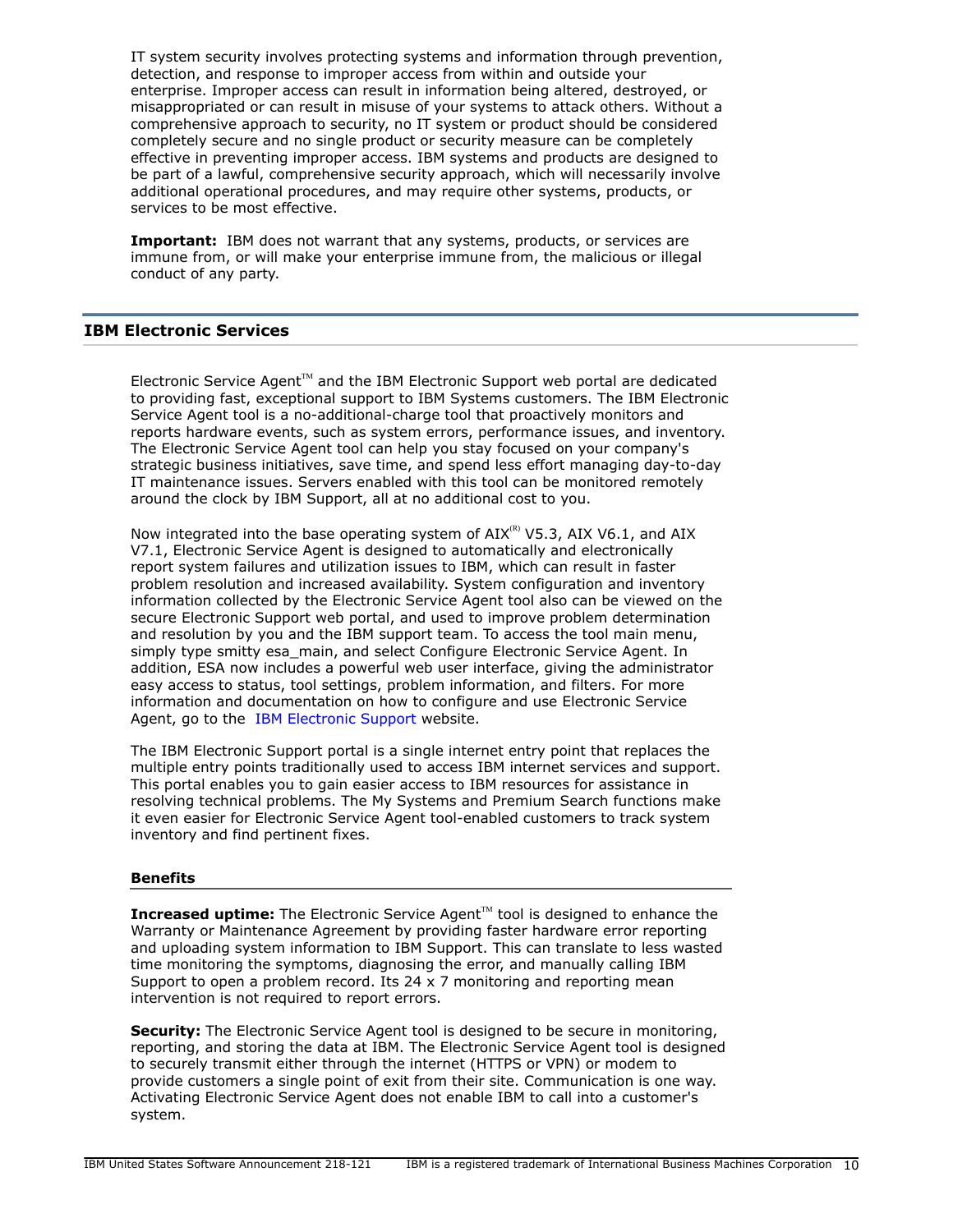IT system security involves protecting systems and information through prevention, detection, and response to improper access from within and outside your enterprise. Improper access can result in information being altered, destroyed, or misappropriated or can result in misuse of your systems to attack others. Without a comprehensive approach to security, no IT system or product should be considered completely secure and no single product or security measure can be completely effective in preventing improper access. IBM systems and products are designed to be part of a lawful, comprehensive security approach, which will necessarily involve additional operational procedures, and may require other systems, products, or services to be most effective.

**Important:** IBM does not warrant that any systems, products, or services are immune from, or will make your enterprise immune from, the malicious or illegal conduct of any party.

# **IBM Electronic Services**

Electronic Service Agent $T<sup>M</sup>$  and the IBM Electronic Support web portal are dedicated to providing fast, exceptional support to IBM Systems customers. The IBM Electronic Service Agent tool is a no-additional-charge tool that proactively monitors and reports hardware events, such as system errors, performance issues, and inventory. The Electronic Service Agent tool can help you stay focused on your company's strategic business initiatives, save time, and spend less effort managing day-to-day IT maintenance issues. Servers enabled with this tool can be monitored remotely around the clock by IBM Support, all at no additional cost to you.

Now integrated into the base operating system of  $AIX^{(R)}$  V5.3, AIX V6.1, and AIX V7.1, Electronic Service Agent is designed to automatically and electronically report system failures and utilization issues to IBM, which can result in faster problem resolution and increased availability. System configuration and inventory information collected by the Electronic Service Agent tool also can be viewed on the secure Electronic Support web portal, and used to improve problem determination and resolution by you and the IBM support team. To access the tool main menu, simply type smitty esa\_main, and select Configure Electronic Service Agent. In addition, ESA now includes a powerful web user interface, giving the administrator easy access to status, tool settings, problem information, and filters. For more information and documentation on how to configure and use Electronic Service Agent, go to the [IBM Electronic Support](http://www.ibm.com/support/electronic) website.

The IBM Electronic Support portal is a single internet entry point that replaces the multiple entry points traditionally used to access IBM internet services and support. This portal enables you to gain easier access to IBM resources for assistance in resolving technical problems. The My Systems and Premium Search functions make it even easier for Electronic Service Agent tool-enabled customers to track system inventory and find pertinent fixes.

#### **Benefits**

**Increased uptime:** The Electronic Service Agent™ tool is designed to enhance the Warranty or Maintenance Agreement by providing faster hardware error reporting and uploading system information to IBM Support. This can translate to less wasted time monitoring the symptoms, diagnosing the error, and manually calling IBM Support to open a problem record. Its 24 x 7 monitoring and reporting mean intervention is not required to report errors.

**Security:** The Electronic Service Agent tool is designed to be secure in monitoring, reporting, and storing the data at IBM. The Electronic Service Agent tool is designed to securely transmit either through the internet (HTTPS or VPN) or modem to provide customers a single point of exit from their site. Communication is one way. Activating Electronic Service Agent does not enable IBM to call into a customer's system.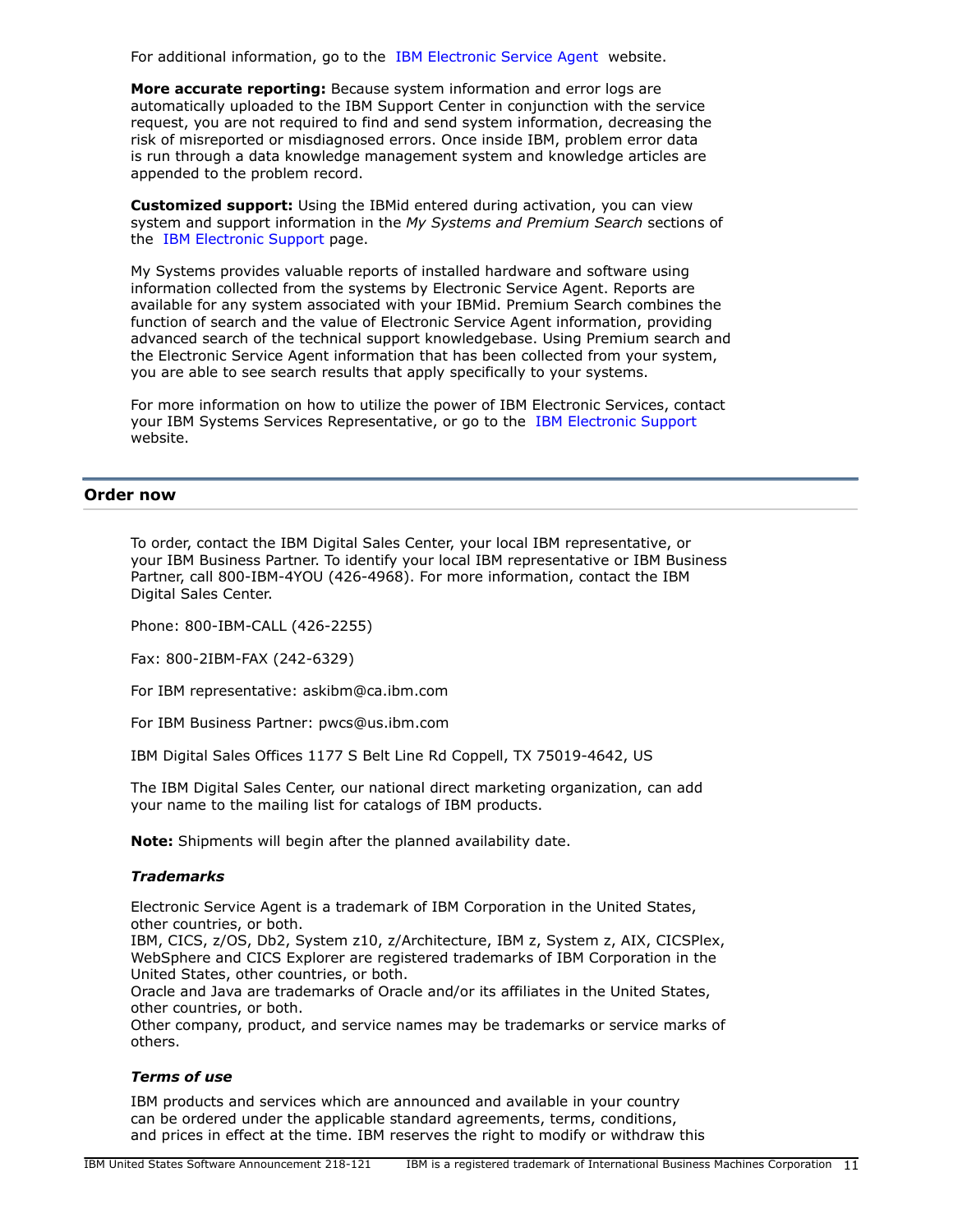For additional information, go to the [IBM Electronic Service Agent](http://www.ibm.com/support/esa) website.

**More accurate reporting:** Because system information and error logs are automatically uploaded to the IBM Support Center in conjunction with the service request, you are not required to find and send system information, decreasing the risk of misreported or misdiagnosed errors. Once inside IBM, problem error data is run through a data knowledge management system and knowledge articles are appended to the problem record.

**Customized support:** Using the IBMid entered during activation, you can view system and support information in the *My Systems and Premium Search* sections of the [IBM Electronic Support](http://www.ibm.com/support/electronic) page.

My Systems provides valuable reports of installed hardware and software using information collected from the systems by Electronic Service Agent. Reports are available for any system associated with your IBMid. Premium Search combines the function of search and the value of Electronic Service Agent information, providing advanced search of the technical support knowledgebase. Using Premium search and the Electronic Service Agent information that has been collected from your system, you are able to see search results that apply specifically to your systems.

For more information on how to utilize the power of IBM Electronic Services, contact your IBM Systems Services Representative, or go to the [IBM Electronic Support](http://www.ibm.com/support/electronic) website.

#### <span id="page-10-0"></span>**Order now**

To order, contact the IBM Digital Sales Center, your local IBM representative, or your IBM Business Partner. To identify your local IBM representative or IBM Business Partner, call 800-IBM-4YOU (426-4968). For more information, contact the IBM Digital Sales Center.

Phone: 800-IBM-CALL (426-2255)

Fax: 800-2IBM-FAX (242-6329)

For IBM representative: askibm@ca.ibm.com

For IBM Business Partner: pwcs@us.ibm.com

IBM Digital Sales Offices 1177 S Belt Line Rd Coppell, TX 75019-4642, US

The IBM Digital Sales Center, our national direct marketing organization, can add your name to the mailing list for catalogs of IBM products.

**Note:** Shipments will begin after the planned availability date.

#### *Trademarks*

Electronic Service Agent is a trademark of IBM Corporation in the United States, other countries, or both.

IBM, CICS, z/OS, Db2, System z10, z/Architecture, IBM z, System z, AIX, CICSPlex, WebSphere and CICS Explorer are registered trademarks of IBM Corporation in the United States, other countries, or both.

Oracle and Java are trademarks of Oracle and/or its affiliates in the United States, other countries, or both.

Other company, product, and service names may be trademarks or service marks of others.

#### *Terms of use*

IBM products and services which are announced and available in your country can be ordered under the applicable standard agreements, terms, conditions, and prices in effect at the time. IBM reserves the right to modify or withdraw this